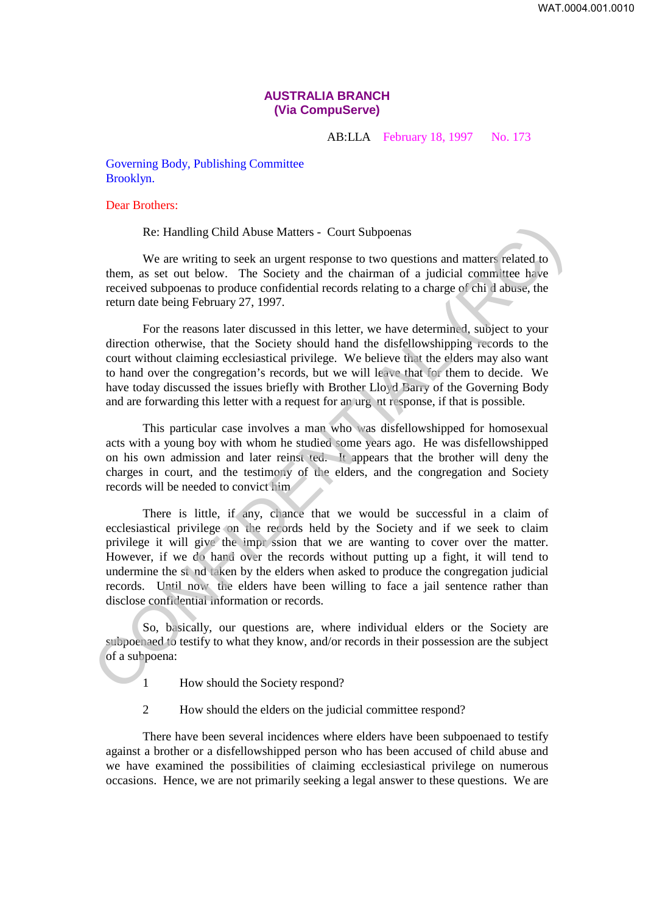## **AUSTRALIA BRANCH (Via CompuServe)**

AB:LLA February 18, 1997 No. 173

Governing Body, Publishing Committee Brooklyn.

## Dear Brothers:

Re: Handling Child Abuse Matters - Court Subpoenas

We are writing to seek an urgent response to two questions and matters related to them, as set out below. The Society and the chairman of a judicial committee have received subpoenas to produce confidential records relating to a charge of chi d abuse, the return date being February 27, 1997.

For the reasons later discussed in this letter, we have determined, subject to your direction otherwise, that the Society should hand the disfellowshipping records to the court without claiming ecclesiastical privilege. We believe that the elders may also want to hand over the congregation's records, but we will leave that for them to decide. We have today discussed the issues briefly with Brother Lloyd Barry of the Governing Body and are forwarding this letter with a request for an urg nt response, if that is possible.

This particular case involves a man who was disfellowshipped for homosexual acts with a young boy with whom he studied some years ago. He was disfellowshipped on his own admission and later reinst ted. It appears that the brother will deny the charges in court, and the testimony of the elders, and the congregation and Society records will be needed to convict him

There is little, if any, chance that we would be successful in a claim of ecclesiastical privilege on the records held by the Society and if we seek to claim privilege it will give the impr ssion that we are wanting to cover over the matter. However, if we do hand over the records without putting up a fight, it will tend to undermine the st nd taken by the elders when asked to produce the congregation judicial records. Until now the elders have been willing to face a jail sentence rather than disclose confidential information or records. Re: Handling Child Abuse Matters - Court Subpoenas<br>We are writing to seek an urgent response to two questions and matter related to<br>them, as set out below. The Society and the chairman of a judicial committee have<br>receive

So, basically, our questions are, where individual elders or the Society are subpoenaed to testify to what they know, and/or records in their possession are the subject of a subpoena:

- 1 How should the Society respond?
- 2 How should the elders on the judicial committee respond?

There have been several incidences where elders have been subpoenaed to testify against a brother or a disfellowshipped person who has been accused of child abuse and we have examined the possibilities of claiming ecclesiastical privilege on numerous occasions. Hence, we are not primarily seeking a legal answer to these questions. We are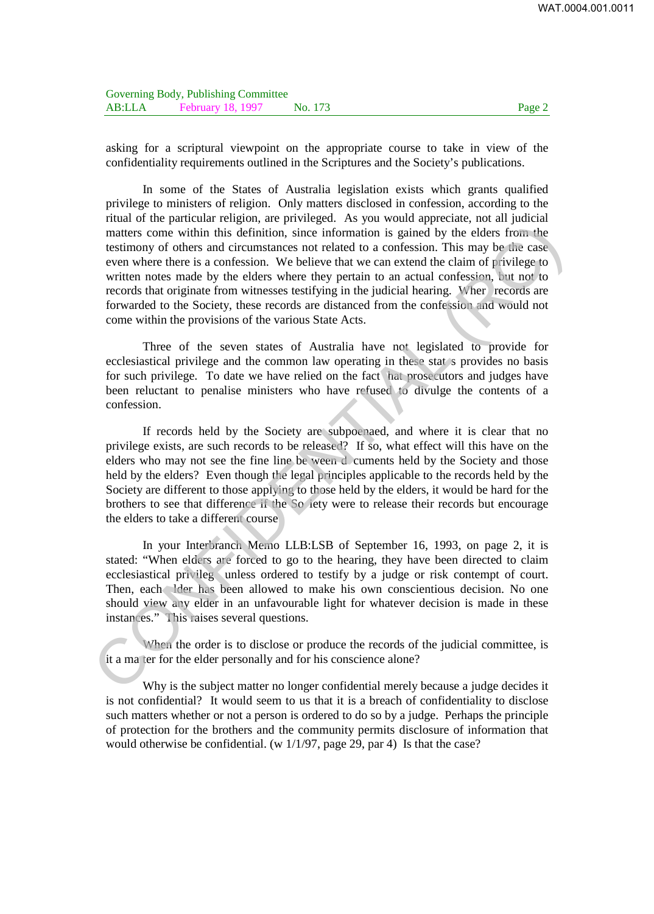asking for a scriptural viewpoint on the appropriate course to take in view of the confidentiality requirements outlined in the Scriptures and the Society's publications.

In some of the States of Australia legislation exists which grants qualified privilege to ministers of religion. Only matters disclosed in confession, according to the ritual of the particular religion, are privileged. As you would appreciate, not all judicial matters come within this definition, since information is gained by the elders from the testimony of others and circumstances not related to a confession. This may be the case even where there is a confession. We believe that we can extend the claim of privilege to written notes made by the elders where they pertain to an actual confession, but not to records that originate from witnesses testifying in the judicial hearing. Wher records are forwarded to the Society, these records are distanced from the confession and would not come within the provisions of the various State Acts. means of others and circuits, the proposition is gained by the elders from the measurement of others and circuits and circuits of the set of the set of the set of the set of the set of the set of the set of the set of the

Three of the seven states of Australia have not legislated to provide for ecclesiastical privilege and the common law operating in these stat s provides no basis for such privilege. To date we have relied on the fact hat prosecutors and judges have been reluctant to penalise ministers who have refused to divulge the contents of a confession.

If records held by the Society are subpoenaed, and where it is clear that no privilege exists, are such records to be released? If so, what effect will this have on the elders who may not see the fine line be ween d cuments held by the Society and those held by the elders? Even though the legal principles applicable to the records held by the Society are different to those applying to those held by the elders, it would be hard for the brothers to see that difference if the So iety were to release their records but encourage the elders to take a different course

In your Interbranch Memo LLB:LSB of September 16, 1993, on page 2, it is stated: "When elders are forced to go to the hearing, they have been directed to claim ecclesiastical privileg unless ordered to testify by a judge or risk contempt of court. Then, each lder has been allowed to make his own conscientious decision. No one should view any elder in an unfavourable light for whatever decision is made in these instances." This raises several questions.

When the order is to disclose or produce the records of the judicial committee, is it a ma ter for the elder personally and for his conscience alone?

Why is the subject matter no longer confidential merely because a judge decides it is not confidential? It would seem to us that it is a breach of confidentiality to disclose such matters whether or not a person is ordered to do so by a judge. Perhaps the principle of protection for the brothers and the community permits disclosure of information that would otherwise be confidential. (w 1/1/97, page 29, par 4) Is that the case?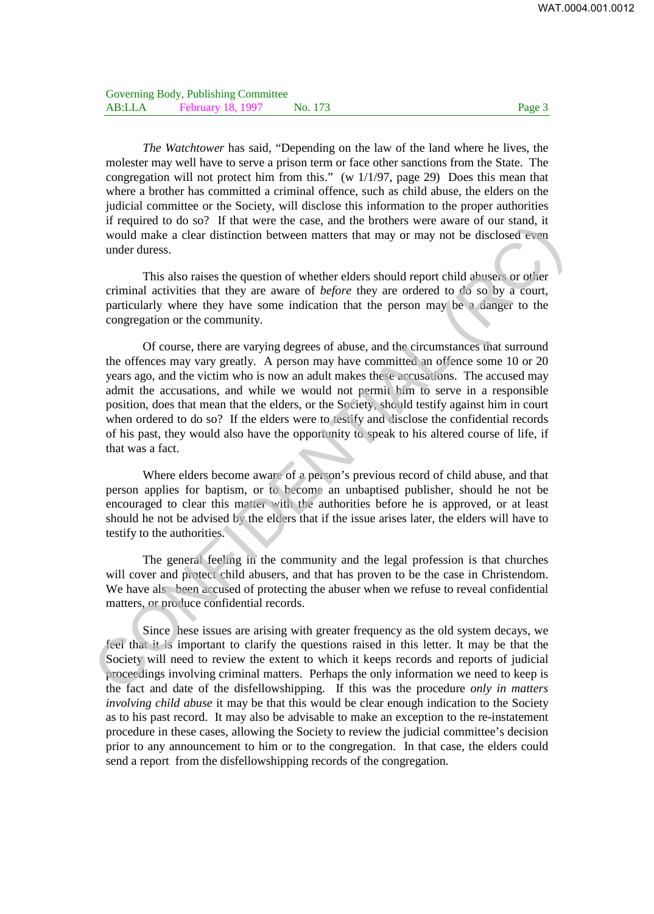*The Watchtower* has said, "Depending on the law of the land where he lives, the molester may well have to serve a prison term or face other sanctions from the State. The congregation will not protect him from this." (w 1/1/97, page 29) Does this mean that where a brother has committed a criminal offence, such as child abuse, the elders on the judicial committee or the Society, will disclose this information to the proper authorities if required to do so? If that were the case, and the brothers were aware of our stand, it would make a clear distinction between matters that may or may not be disclosed even under duress.

This also raises the question of whether elders should report child abusers or other criminal activities that they are aware of *before* they are ordered to do so by a court, particularly where they have some indication that the person may be a danger to the congregation or the community.

Of course, there are varying degrees of abuse, and the circumstances that surround the offences may vary greatly. A person may have committed an offence some 10 or 20 years ago, and the victim who is now an adult makes these accusations. The accused may admit the accusations, and while we would not permit him to serve in a responsible position, does that mean that the elders, or the Society, should testify against him in court when ordered to do so? If the elders were to testify and disclose the confidential records of his past, they would also have the opportunity to speak to his altered course of life, if that was a fact. In required to this mix were letter saw, and including the department of the same of the same of the same of the same of the same of the same of the congregation of the congregation of whether elders should report child a

Where elders become aware of a person's previous record of child abuse, and that person applies for baptism, or to become an unbaptised publisher, should he not be encouraged to clear this matter with the authorities before he is approved, or at least should he not be advised by the elders that if the issue arises later, the elders will have to testify to the authorities.

The general feeling in the community and the legal profession is that churches will cover and protect child abusers, and that has proven to be the case in Christendom. We have als been accused of protecting the abuser when we refuse to reveal confidential matters, or produce confidential records.

Since hese issues are arising with greater frequency as the old system decays, we feel that it is important to clarify the questions raised in this letter. It may be that the Society will need to review the extent to which it keeps records and reports of judicial proceedings involving criminal matters. Perhaps the only information we need to keep is the fact and date of the disfellowshipping. If this was the procedure *only in matters involving child abuse* it may be that this would be clear enough indication to the Society as to his past record. It may also be advisable to make an exception to the re-instatement procedure in these cases, allowing the Society to review the judicial committee's decision prior to any announcement to him or to the congregation. In that case, the elders could send a report from the disfellowshipping records of the congregation.